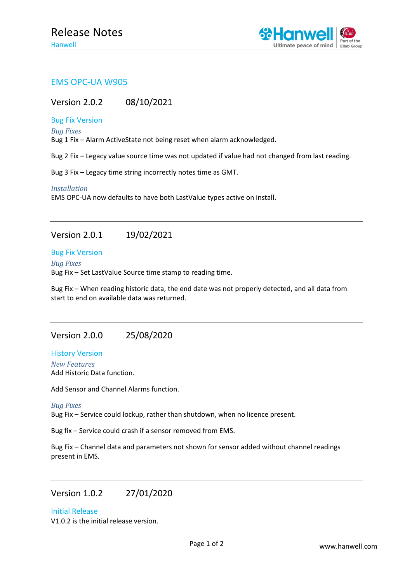

## EMS OPC-UA W905

Version 2.0.2 08/10/2021

### Bug Fix Version

*Bug Fixes*

Bug 1 Fix – Alarm ActiveState not being reset when alarm acknowledged.

Bug 2 Fix – Legacy value source time was not updated if value had not changed from last reading.

Bug 3 Fix – Legacy time string incorrectly notes time as GMT.

*Installation*

EMS OPC-UA now defaults to have both LastValue types active on install.

# Version 2.0.1 19/02/2021

#### Bug Fix Version

*Bug Fixes* Bug Fix – Set LastValue Source time stamp to reading time.

Bug Fix – When reading historic data, the end date was not properly detected, and all data from start to end on available data was returned.

### Version 2.0.0 25/08/2020

History Version *New Features* Add Historic Data function.

Add Sensor and Channel Alarms function.

#### *Bug Fixes*

Bug Fix – Service could lockup, rather than shutdown, when no licence present.

Bug fix – Service could crash if a sensor removed from EMS.

Bug Fix – Channel data and parameters not shown for sensor added without channel readings present in EMS.

### Version 1.0.2 27/01/2020

Initial Release

V1.0.2 is the initial release version.